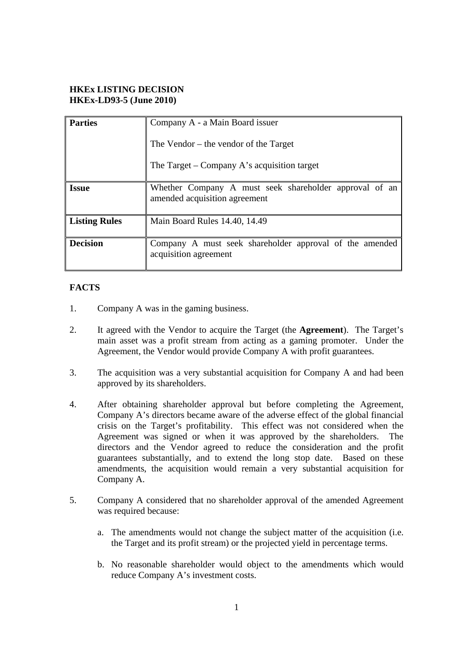### **HKEx LISTING DECISION HKEx-LD93-5 (June 2010)**

| <b>Parties</b>       | Company A - a Main Board issuer                                                         |
|----------------------|-----------------------------------------------------------------------------------------|
|                      | The Vendor $-$ the vendor of the Target                                                 |
|                      | The Target – Company A's acquisition target                                             |
| <b>Issue</b>         | Whether Company A must seek shareholder approval of an<br>amended acquisition agreement |
| <b>Listing Rules</b> | Main Board Rules 14.40, 14.49                                                           |
| <b>Decision</b>      | Company A must seek shareholder approval of the amended<br>acquisition agreement        |

# **FACTS**

- 1. Company A was in the gaming business.
- 2. It agreed with the Vendor to acquire the Target (the **Agreement**). The Target's main asset was a profit stream from acting as a gaming promoter. Under the Agreement, the Vendor would provide Company A with profit guarantees.
- 3. The acquisition was a very substantial acquisition for Company A and had been approved by its shareholders.
- 4. After obtaining shareholder approval but before completing the Agreement, Company A's directors became aware of the adverse effect of the global financial crisis on the Target's profitability. This effect was not considered when the Agreement was signed or when it was approved by the shareholders. The directors and the Vendor agreed to reduce the consideration and the profit guarantees substantially, and to extend the long stop date. Based on these amendments, the acquisition would remain a very substantial acquisition for Company A.
- 5. Company A considered that no shareholder approval of the amended Agreement was required because:
	- a. The amendments would not change the subject matter of the acquisition (i.e. the Target and its profit stream) or the projected yield in percentage terms.
	- b. No reasonable shareholder would object to the amendments which would reduce Company A's investment costs.